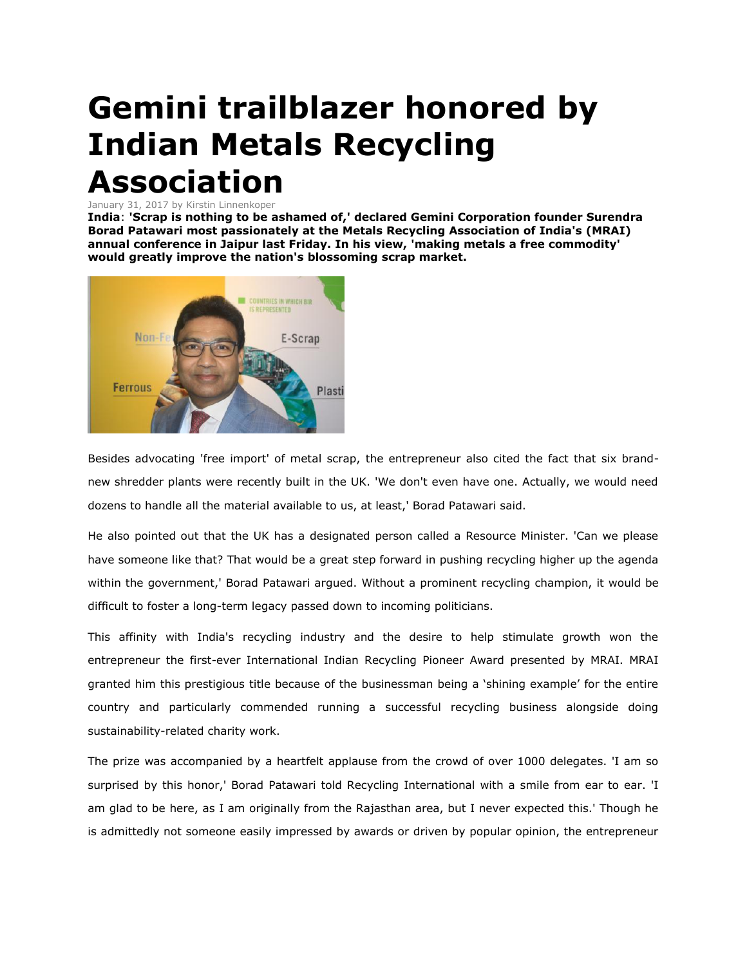## **Gemini trailblazer honored by Indian Metals Recycling Association**

January 31, 2017 by Kirstin Linnenkoper

**India**: **'Scrap is nothing to be ashamed of,' declared Gemini Corporation founder Surendra Borad Patawari most passionately at the Metals Recycling Association of India's (MRAI) annual conference in Jaipur last Friday. In his view, 'making metals a free commodity' would greatly improve the nation's blossoming scrap market.**



Besides advocating 'free import' of metal scrap, the entrepreneur also cited the fact that six brandnew shredder plants were recently built in the UK. 'We don't even have one. Actually, we would need dozens to handle all the material available to us, at least,' Borad Patawari said.

He also pointed out that the UK has a designated person called a Resource Minister. 'Can we please have someone like that? That would be a great step forward in pushing recycling higher up the agenda within the government,' Borad Patawari argued. Without a prominent recycling champion, it would be difficult to foster a long-term legacy passed down to incoming politicians.

This affinity with India's recycling industry and the desire to help stimulate growth won the entrepreneur the first-ever International Indian Recycling Pioneer Award presented by MRAI. MRAI granted him this prestigious title because of the businessman being a 'shining example' for the entire country and particularly commended running a successful recycling business alongside doing sustainability-related charity work.

The prize was accompanied by a heartfelt applause from the crowd of over 1000 delegates. 'I am so surprised by this honor,' Borad Patawari told Recycling International with a smile from ear to ear. 'I am glad to be here, as I am originally from the Rajasthan area, but I never expected this.' Though he is admittedly not someone easily impressed by awards or driven by popular opinion, the entrepreneur